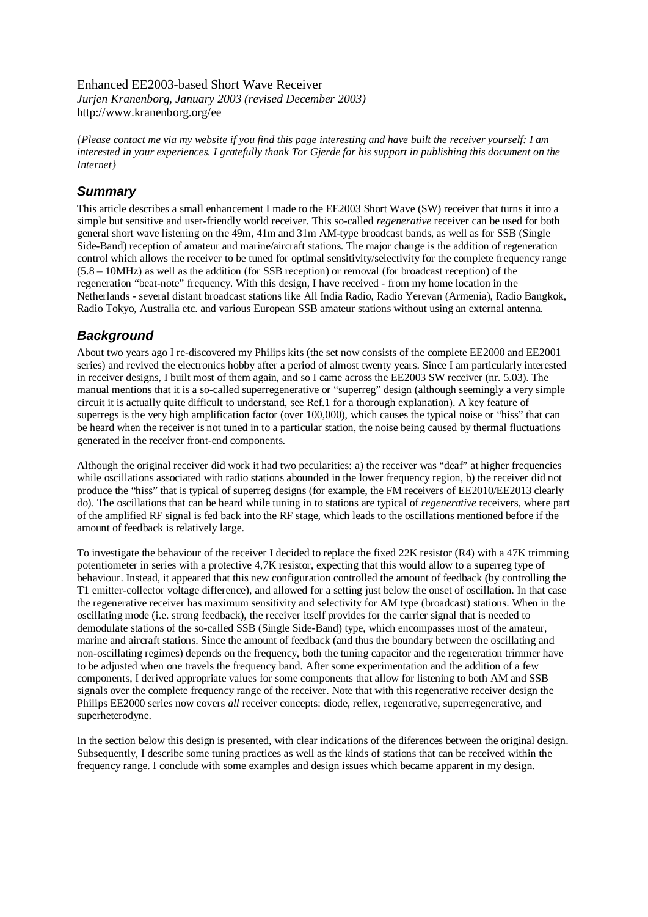#### Enhanced EE2003-based Short Wave Receiver *Jurjen Kranenborg, January 2003 (revised December 2003)*  http://www.kranenborg.org/ee

*{Please contact me via my website if you find this page interesting and have built the receiver yourself: I am interested in your experiences. I gratefully thank Tor Gjerde for his support in publishing this document on the Internet}* 

## *Summary*

This article describes a small enhancement I made to the EE2003 Short Wave (SW) receiver that turns it into a simple but sensitive and user-friendly world receiver. This so-called *regenerative* receiver can be used for both general short wave listening on the 49m, 41m and 31m AM-type broadcast bands, as well as for SSB (Single Side-Band) reception of amateur and marine/aircraft stations. The major change is the addition of regeneration control which allows the receiver to be tuned for optimal sensitivity/selectivity for the complete frequency range (5.8 – 10MHz) as well as the addition (for SSB reception) or removal (for broadcast reception) of the regeneration "beat-note" frequency. With this design, I have received - from my home location in the Netherlands - several distant broadcast stations like All India Radio, Radio Yerevan (Armenia), Radio Bangkok, Radio Tokyo, Australia etc. and various European SSB amateur stations without using an external antenna.

# *Background*

About two years ago I re-discovered my Philips kits (the set now consists of the complete EE2000 and EE2001 series) and revived the electronics hobby after a period of almost twenty years. Since I am particularly interested in receiver designs, I built most of them again, and so I came across the EE2003 SW receiver (nr. 5.03). The manual mentions that it is a so-called superregenerative or "superreg" design (although seemingly a very simple circuit it is actually quite difficult to understand, see Ref.1 for a thorough explanation). A key feature of superregs is the very high amplification factor (over 100,000), which causes the typical noise or "hiss" that can be heard when the receiver is not tuned in to a particular station, the noise being caused by thermal fluctuations generated in the receiver front-end components.

Although the original receiver did work it had two pecularities: a) the receiver was "deaf" at higher frequencies while oscillations associated with radio stations abounded in the lower frequency region, b) the receiver did not produce the "hiss" that is typical of superreg designs (for example, the FM receivers of EE2010/EE2013 clearly do). The oscillations that can be heard while tuning in to stations are typical of *regenerative* receivers, where part of the amplified RF signal is fed back into the RF stage, which leads to the oscillations mentioned before if the amount of feedback is relatively large.

To investigate the behaviour of the receiver I decided to replace the fixed 22K resistor (R4) with a 47K trimming potentiometer in series with a protective 4,7K resistor, expecting that this would allow to a superreg type of behaviour. Instead, it appeared that this new configuration controlled the amount of feedback (by controlling the T1 emitter-collector voltage difference), and allowed for a setting just below the onset of oscillation. In that case the regenerative receiver has maximum sensitivity and selectivity for AM type (broadcast) stations. When in the oscillating mode (i.e. strong feedback), the receiver itself provides for the carrier signal that is needed to demodulate stations of the so-called SSB (Single Side-Band) type, which encompasses most of the amateur, marine and aircraft stations. Since the amount of feedback (and thus the boundary between the oscillating and non-oscillating regimes) depends on the frequency, both the tuning capacitor and the regeneration trimmer have to be adjusted when one travels the frequency band. After some experimentation and the addition of a few components, I derived appropriate values for some components that allow for listening to both AM and SSB signals over the complete frequency range of the receiver. Note that with this regenerative receiver design the Philips EE2000 series now covers *all* receiver concepts: diode, reflex, regenerative, superregenerative, and superheterodyne.

In the section below this design is presented, with clear indications of the diferences between the original design. Subsequently, I describe some tuning practices as well as the kinds of stations that can be received within the frequency range. I conclude with some examples and design issues which became apparent in my design.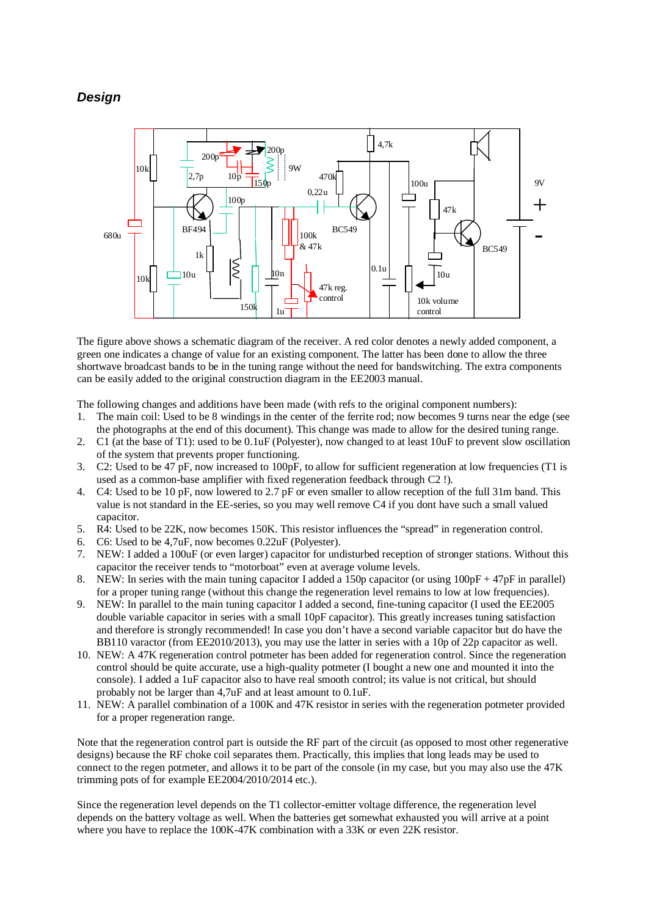# *Design*



The figure above shows a schematic diagram of the receiver. A red color denotes a newly added component, a green one indicates a change of value for an existing component. The latter has been done to allow the three shortwave broadcast bands to be in the tuning range without the need for bandswitching. The extra components can be easily added to the original construction diagram in the EE2003 manual.

The following changes and additions have been made (with refs to the original component numbers):

- 1. The main coil: Used to be 8 windings in the center of the ferrite rod; now becomes 9 turns near the edge (see the photographs at the end of this document). This change was made to allow for the desired tuning range.
- 2. C1 (at the base of T1): used to be 0.1uF (Polyester), now changed to at least 10uF to prevent slow oscillation of the system that prevents proper functioning.
- 3. C2: Used to be 47 pF, now increased to 100pF, to allow for sufficient regeneration at low frequencies (T1 is used as a common-base amplifier with fixed regeneration feedback through C2 !).
- 4. C4: Used to be 10 pF, now lowered to 2.7 pF or even smaller to allow reception of the full 31m band. This value is not standard in the EE-series, so you may well remove C4 if you dont have such a small valued capacitor.
- 5. R4: Used to be 22K, now becomes 150K. This resistor influences the "spread" in regeneration control.
- 6. C6: Used to be 4,7uF, now becomes 0.22uF (Polyester).
- 7. NEW: I added a 100uF (or even larger) capacitor for undisturbed reception of stronger stations. Without this capacitor the receiver tends to "motorboat" even at average volume levels.
- 8. NEW: In series with the main tuning capacitor I added a 150p capacitor (or using 100pF + 47pF in parallel) for a proper tuning range (without this change the regeneration level remains to low at low frequencies).
- 9. NEW: In parallel to the main tuning capacitor I added a second, fine-tuning capacitor (I used the EE2005 double variable capacitor in series with a small 10pF capacitor). This greatly increases tuning satisfaction and therefore is strongly recommended! In case you don't have a second variable capacitor but do have the BB110 varactor (from EE2010/2013), you may use the latter in series with a 10p of 22p capacitor as well.
- 10. NEW: A 47K regeneration control potmeter has been added for regeneration control. Since the regeneration control should be quite accurate, use a high-quality potmeter (I bought a new one and mounted it into the console). I added a 1uF capacitor also to have real smooth control; its value is not critical, but should probably not be larger than 4,7uF and at least amount to 0.1uF.
- 11. NEW: A parallel combination of a 100K and 47K resistor in series with the regeneration potmeter provided for a proper regeneration range.

Note that the regeneration control part is outside the RF part of the circuit (as opposed to most other regenerative designs) because the RF choke coil separates them. Practically, this implies that long leads may be used to connect to the regen potmeter, and allows it to be part of the console (in my case, but you may also use the 47K trimming pots of for example EE2004/2010/2014 etc.).

Since the regeneration level depends on the T1 collector-emitter voltage difference, the regeneration level depends on the battery voltage as well. When the batteries get somewhat exhausted you will arrive at a point where you have to replace the 100K-47K combination with a 33K or even 22K resistor.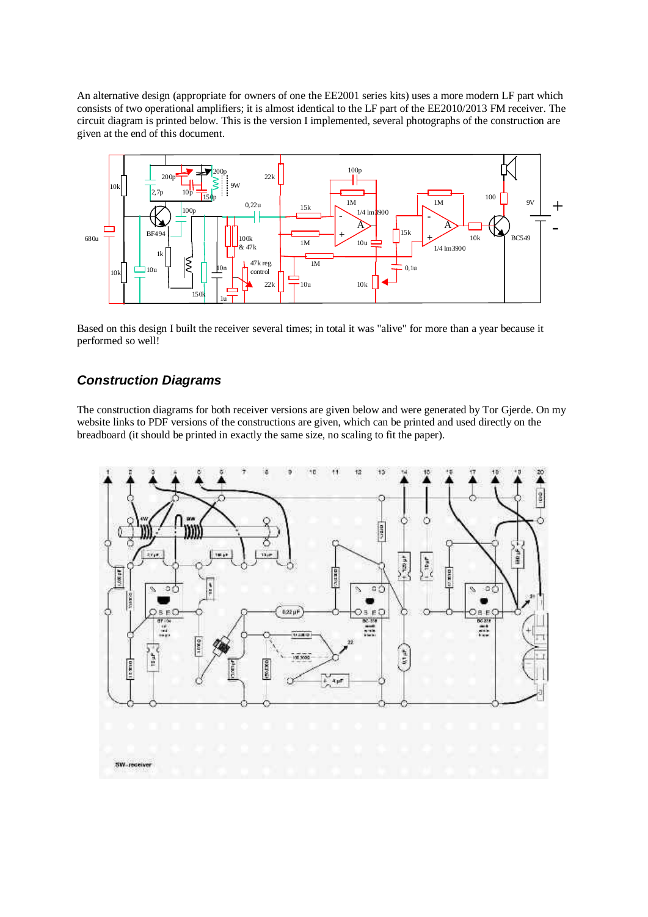An alternative design (appropriate for owners of one the EE2001 series kits) uses a more modern LF part which consists of two operational amplifiers; it is almost identical to the LF part of the EE2010/2013 FM receiver. The circuit diagram is printed below. This is the version I implemented, several photographs of the construction are given at the end of this document.



Based on this design I built the receiver several times; in total it was "alive" for more than a year because it performed so well!

### *Construction Diagrams*

The construction diagrams for both receiver versions are given below and were generated by Tor Gjerde. On my website links to PDF versions of the constructions are given, which can be printed and used directly on the breadboard (it should be printed in exactly the same size, no scaling to fit the paper).

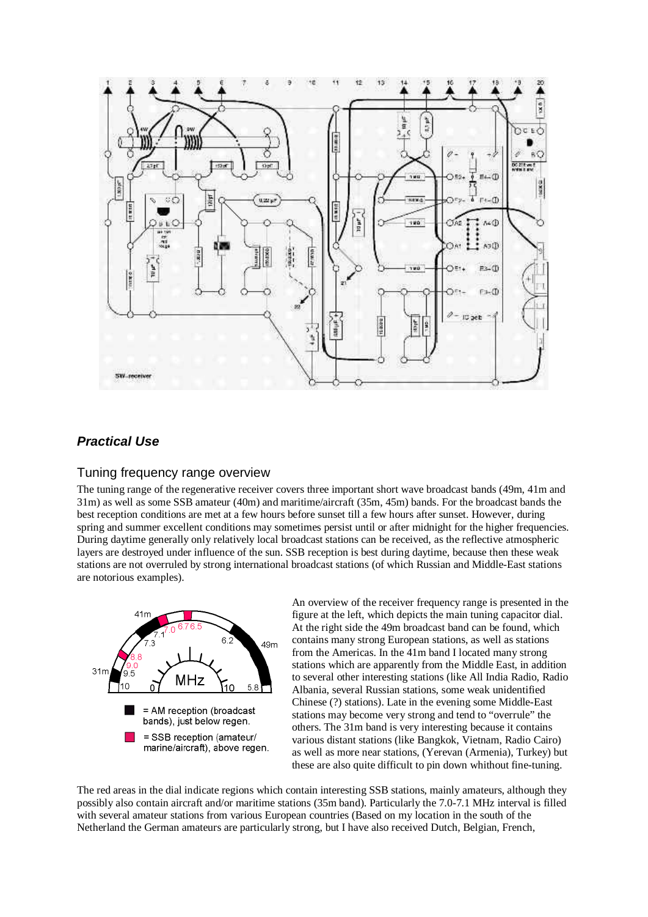

## *Practical Use*

#### Tuning frequency range overview

The tuning range of the regenerative receiver covers three important short wave broadcast bands (49m, 41m and 31m) as well as some SSB amateur (40m) and maritime/aircraft (35m, 45m) bands. For the broadcast bands the best reception conditions are met at a few hours before sunset till a few hours after sunset. However, during spring and summer excellent conditions may sometimes persist until or after midnight for the higher frequencies. During daytime generally only relatively local broadcast stations can be received, as the reflective atmospheric layers are destroyed under influence of the sun. SSB reception is best during daytime, because then these weak stations are not overruled by strong international broadcast stations (of which Russian and Middle-East stations are notorious examples).



An overview of the receiver frequency range is presented in the figure at the left, which depicts the main tuning capacitor dial. At the right side the 49m broadcast band can be found, which contains many strong European stations, as well as stations from the Americas. In the 41m band I located many strong stations which are apparently from the Middle East, in addition to several other interesting stations (like All India Radio, Radio Albania, several Russian stations, some weak unidentified Chinese (?) stations). Late in the evening some Middle-East stations may become very strong and tend to "overrule" the others. The 31m band is very interesting because it contains various distant stations (like Bangkok, Vietnam, Radio Cairo) as well as more near stations, (Yerevan (Armenia), Turkey) but these are also quite difficult to pin down whithout fine-tuning.

The red areas in the dial indicate regions which contain interesting SSB stations, mainly amateurs, although they possibly also contain aircraft and/or maritime stations (35m band). Particularly the 7.0-7.1 MHz interval is filled with several amateur stations from various European countries (Based on my location in the south of the Netherland the German amateurs are particularly strong, but I have also received Dutch, Belgian, French,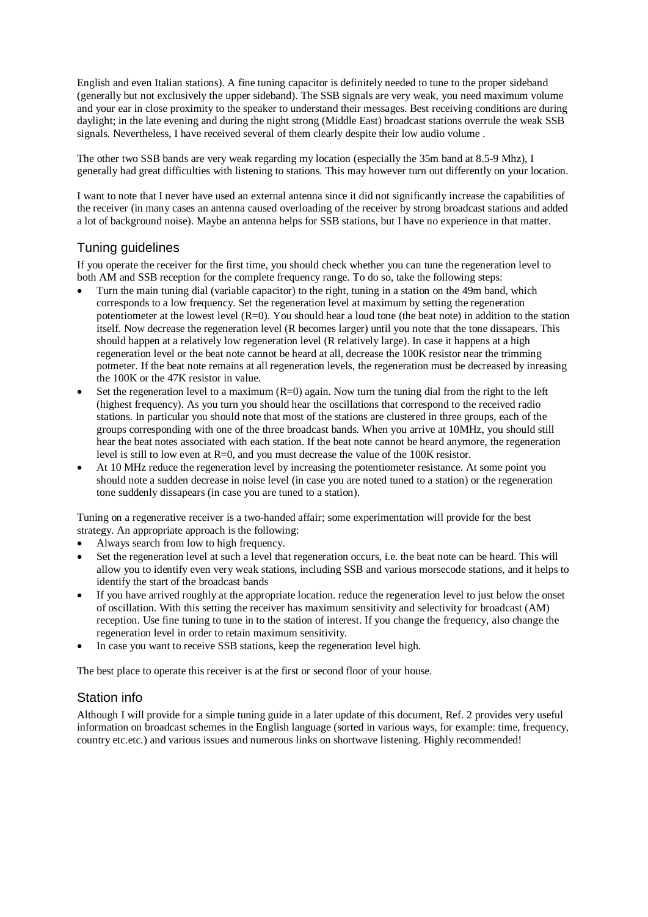English and even Italian stations). A fine tuning capacitor is definitely needed to tune to the proper sideband (generally but not exclusively the upper sideband). The SSB signals are very weak, you need maximum volume and your ear in close proximity to the speaker to understand their messages. Best receiving conditions are during daylight; in the late evening and during the night strong (Middle East) broadcast stations overrule the weak SSB signals. Nevertheless, I have received several of them clearly despite their low audio volume .

The other two SSB bands are very weak regarding my location (especially the 35m band at 8.5-9 Mhz), I generally had great difficulties with listening to stations. This may however turn out differently on your location.

I want to note that I never have used an external antenna since it did not significantly increase the capabilities of the receiver (in many cases an antenna caused overloading of the receiver by strong broadcast stations and added a lot of background noise). Maybe an antenna helps for SSB stations, but I have no experience in that matter.

#### Tuning guidelines

If you operate the receiver for the first time, you should check whether you can tune the regeneration level to both AM and SSB reception for the complete frequency range. To do so, take the following steps:

- Turn the main tuning dial (variable capacitor) to the right, tuning in a station on the 49m band, which corresponds to a low frequency. Set the regeneration level at maximum by setting the regeneration potentiometer at the lowest level (R=0). You should hear a loud tone (the beat note) in addition to the station itself. Now decrease the regeneration level (R becomes larger) until you note that the tone dissapears. This should happen at a relatively low regeneration level (R relatively large). In case it happens at a high regeneration level or the beat note cannot be heard at all, decrease the 100K resistor near the trimming potmeter. If the beat note remains at all regeneration levels, the regeneration must be decreased by inreasing the 100K or the 47K resistor in value.
- Set the regeneration level to a maximum  $(R=0)$  again. Now turn the tuning dial from the right to the left (highest frequency). As you turn you should hear the oscillations that correspond to the received radio stations. In particular you should note that most of the stations are clustered in three groups, each of the groups corresponding with one of the three broadcast bands. When you arrive at 10MHz, you should still hear the beat notes associated with each station. If the beat note cannot be heard anymore, the regeneration level is still to low even at R=0, and you must decrease the value of the 100K resistor.
- At 10 MHz reduce the regeneration level by increasing the potentiometer resistance. At some point you should note a sudden decrease in noise level (in case you are noted tuned to a station) or the regeneration tone suddenly dissapears (in case you are tuned to a station).

Tuning on a regenerative receiver is a two-handed affair; some experimentation will provide for the best strategy. An appropriate approach is the following:

- Always search from low to high frequency.
- Set the regeneration level at such a level that regeneration occurs, i.e. the beat note can be heard. This will allow you to identify even very weak stations, including SSB and various morsecode stations, and it helps to identify the start of the broadcast bands
- If you have arrived roughly at the appropriate location. reduce the regeneration level to just below the onset of oscillation. With this setting the receiver has maximum sensitivity and selectivity for broadcast (AM) reception. Use fine tuning to tune in to the station of interest. If you change the frequency, also change the regeneration level in order to retain maximum sensitivity.
- In case you want to receive SSB stations, keep the regeneration level high.

The best place to operate this receiver is at the first or second floor of your house.

#### Station info

Although I will provide for a simple tuning guide in a later update of this document, Ref. 2 provides very useful information on broadcast schemes in the English language (sorted in various ways, for example: time, frequency, country etc.etc.) and various issues and numerous links on shortwave listening. Highly recommended!